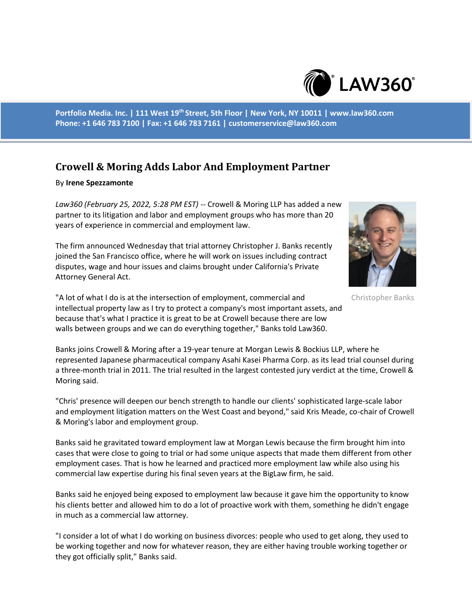

**Portfolio Media. Inc. | 111 West 19th Street, 5th Floor | New York, NY 10011 | www.law360.com Phone: +1 646 783 7100 | Fax: +1 646 783 7161 | customerservice@law360.com**

## **Crowell & Moring Adds Labor And Employment Partner**

## By **Irene Spezzamonte**

*Law360 (February 25, 2022, 5:28 PM EST)* -- Crowell & Moring LLP has added a new partner to its litigation and labor and employment groups who has more than 20 years of experience in commercial and employment law.

The firm announced Wednesday that trial attorney Christopher J. Banks recently joined the San Francisco office, where he will work on issues including contract disputes, wage and hour issues and claims brought under California's Private Attorney General Act.



Christopher Banks

"A lot of what I do is at the intersection of employment, commercial and intellectual property law as I try to protect a company's most important assets, and because that's what I practice it is great to be at Crowell because there are low walls between groups and we can do everything together," Banks told Law360.

Banks joins Crowell & Moring after a 19-year tenure at Morgan Lewis & Bockius LLP, where he represented Japanese pharmaceutical company Asahi Kasei Pharma Corp. as its lead trial counsel during a three-month trial in 2011. The trial resulted in the largest contested jury verdict at the time, Crowell & Moring said.

"Chris' presence will deepen our bench strength to handle our clients' sophisticated large-scale labor and employment litigation matters on the West Coast and beyond," said Kris Meade, co-chair of Crowell & Moring's labor and employment group.

Banks said he gravitated toward employment law at Morgan Lewis because the firm brought him into cases that were close to going to trial or had some unique aspects that made them different from other employment cases. That is how he learned and practiced more employment law while also using his commercial law expertise during his final seven years at the BigLaw firm, he said.

Banks said he enjoyed being exposed to employment law because it gave him the opportunity to know his clients better and allowed him to do a lot of proactive work with them, something he didn't engage in much as a commercial law attorney.

"I consider a lot of what I do working on business divorces: people who used to get along, they used to be working together and now for whatever reason, they are either having trouble working together or they got officially split," Banks said.